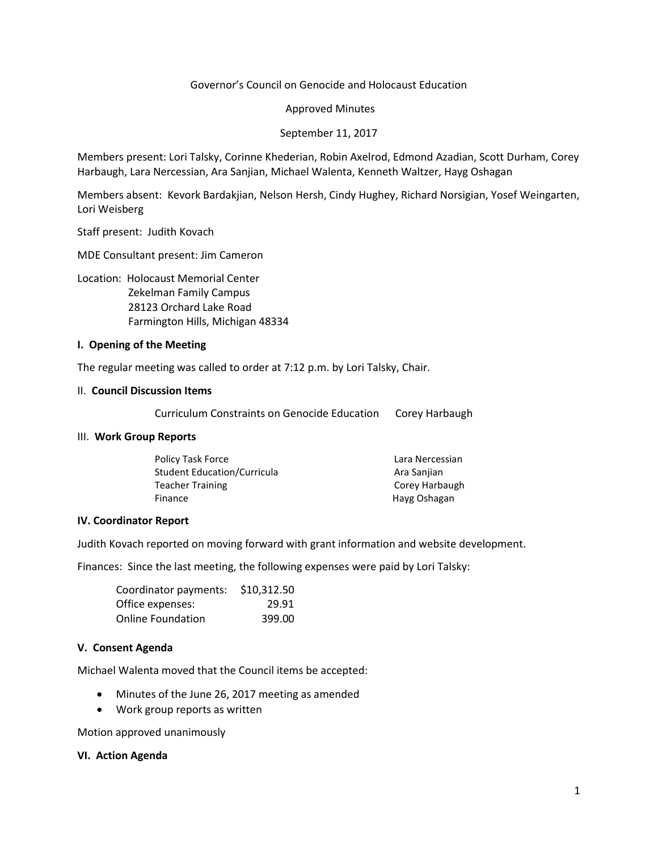### Governor's Council on Genocide and Holocaust Education

Approved Minutes

September 11, 2017

Members present: Lori Talsky, Corinne Khederian, Robin Axelrod, Edmond Azadian, Scott Durham, Corey Harbaugh, Lara Nercessian, Ara Sanjian, Michael Walenta, Kenneth Waltzer, Hayg Oshagan

Members absent: Kevork Bardakjian, Nelson Hersh, Cindy Hughey, Richard Norsigian, Yosef Weingarten, Lori Weisberg

Staff present: Judith Kovach

MDE Consultant present: Jim Cameron

Location: Holocaust Memorial Center

 Zekelman Family Campus 28123 Orchard Lake Road Farmington Hills, Michigan 48334

#### **I. Opening of the Meeting**

The regular meeting was called to order at 7:12 p.m. by Lori Talsky, Chair.

#### II. **Council Discussion Items**

Curriculum Constraints on Genocide Education Corey Harbaugh

#### III. **Work Group Reports**

| Lara Nercessian |
|-----------------|
| Ara Sanjian     |
| Corey Harbaugh  |
| Hayg Oshagan    |
|                 |

#### **IV. Coordinator Report**

Judith Kovach reported on moving forward with grant information and website development.

Finances: Since the last meeting, the following expenses were paid by Lori Talsky:

| Coordinator payments:    | \$10,312.50 |
|--------------------------|-------------|
| Office expenses:         | 29.91       |
| <b>Online Foundation</b> | 399.00      |

#### **V. Consent Agenda**

Michael Walenta moved that the Council items be accepted:

- Minutes of the June 26, 2017 meeting as amended
- Work group reports as written

Motion approved unanimously

#### **VI. Action Agenda**